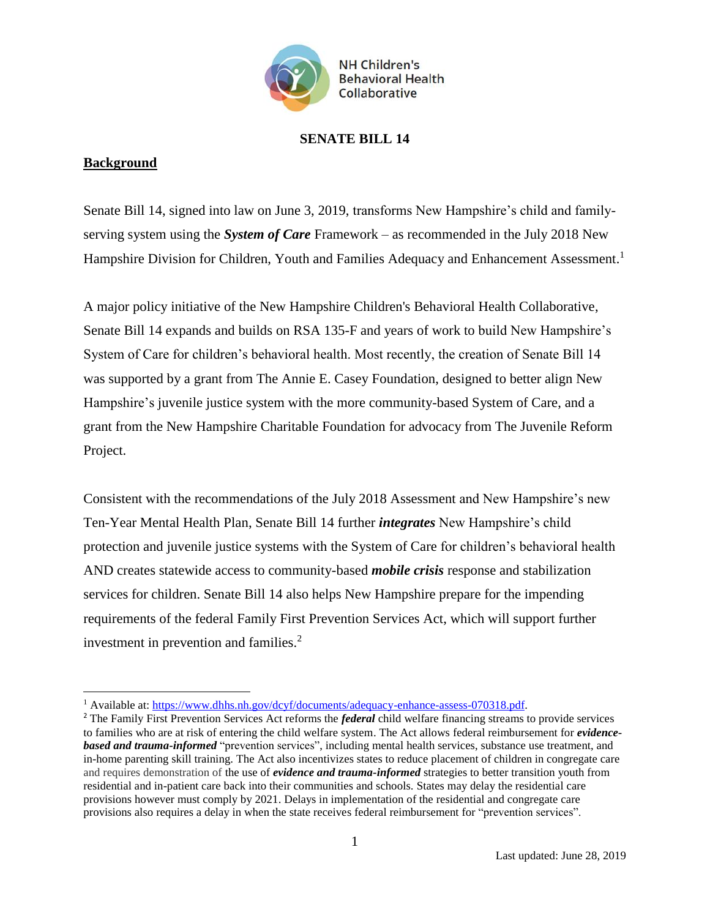

## **SENATE BILL 14**

## **Background**

 $\overline{a}$ 

Senate Bill 14, signed into law on June 3, 2019, transforms New Hampshire's child and familyserving system using the *System of Care* Framework – as recommended in the July 2018 New Hampshire Division for Children, Youth and Families Adequacy and Enhancement Assessment.<sup>1</sup>

A major policy initiative of the New Hampshire Children's Behavioral Health Collaborative, Senate Bill 14 expands and builds on RSA 135-F and years of work to build New Hampshire's System of Care for children's behavioral health. Most recently, the creation of Senate Bill 14 was supported by a grant from The Annie E. Casey Foundation, designed to better align New Hampshire's juvenile justice system with the more community-based System of Care, and a grant from the New Hampshire Charitable Foundation for advocacy from The Juvenile Reform Project.

Consistent with the recommendations of the July 2018 Assessment and New Hampshire's new Ten-Year Mental Health Plan, Senate Bill 14 further *integrates* New Hampshire's child protection and juvenile justice systems with the System of Care for children's behavioral health AND creates statewide access to community-based *mobile crisis* response and stabilization services for children. Senate Bill 14 also helps New Hampshire prepare for the impending requirements of the federal Family First Prevention Services Act, which will support further investment in prevention and families. 2

<sup>&</sup>lt;sup>1</sup> Available at[: https://www.dhhs.nh.gov/dcyf/documents/adequacy-enhance-assess-070318.pdf.](https://www.dhhs.nh.gov/dcyf/documents/adequacy-enhance-assess-070318.pdf)

<sup>2</sup> The Family First Prevention Services Act reforms the *federal* child welfare financing streams to provide services to families who are at risk of entering the child welfare system. The Act allows federal reimbursement for *evidencebased and trauma-informed* "prevention services", including mental health services, substance use treatment, and in-home parenting skill training. The Act also incentivizes states to reduce placement of children in congregate care and requires demonstration of the use of *evidence and trauma-informed* strategies to better transition youth from residential and in-patient care back into their communities and schools. States may delay the residential care provisions however must comply by 2021. Delays in implementation of the residential and congregate care provisions also requires a delay in when the state receives federal reimbursement for "prevention services".